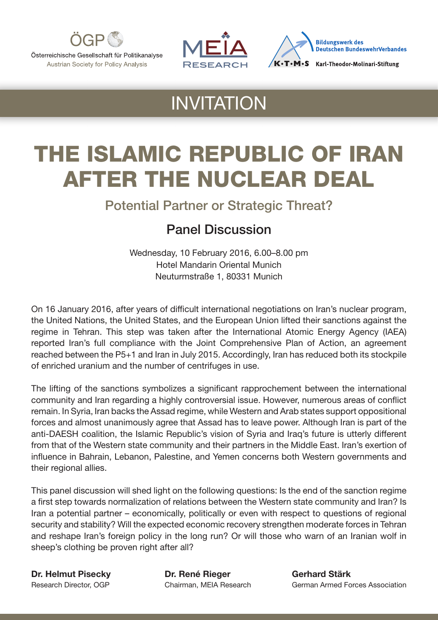

Österreichische Gesellschaft für Politikanalyse Austrian Society for Policy Analysis





## INVITATION

# THE ISLAMIC REPUBLIC OF IRAN AFTER THE NUCLEAR DEAL

Potential Partner or Strategic Threat?

#### Panel Discussion

Wednesday, 10 February 2016, 6.00–8.00 pm Hotel Mandarin Oriental Munich Neuturmstraße 1, 80331 Munich

On 16 January 2016, after years of difficult international negotiations on Iran's nuclear program, the United Nations, the United States, and the European Union lifted their sanctions against the regime in Tehran. This step was taken after the International Atomic Energy Agency (IAEA) reported Iran's full compliance with the Joint Comprehensive Plan of Action, an agreement reached between the P5+1 and Iran in July 2015. Accordingly, Iran has reduced both its stockpile of enriched uranium and the number of centrifuges in use.

The lifting of the sanctions symbolizes a significant rapprochement between the international community and Iran regarding a highly controversial issue. However, numerous areas of conflict remain. In Syria, Iran backs the Assad regime, while Western and Arab states support oppositional forces and almost unanimously agree that Assad has to leave power. Although Iran is part of the anti-DAESH coalition, the Islamic Republic's vision of Syria and Iraq's future is utterly different from that of the Western state community and their partners in the Middle East. Iran's exertion of influence in Bahrain, Lebanon, Palestine, and Yemen concerns both Western governments and their regional allies.

This panel discussion will shed light on the following questions: Is the end of the sanction regime a first step towards normalization of relations between the Western state community and Iran? Is Iran a potential partner – economically, politically or even with respect to questions of regional security and stability? Will the expected economic recovery strengthen moderate forces in Tehran and reshape Iran's foreign policy in the long run? Or will those who warn of an Iranian wolf in sheep's clothing be proven right after all?

Dr. Helmut Pisecky Dr. René Rieger Gerhard Stärk

Research Director, OGP Chairman, MEIA Research German Armed Forces Association